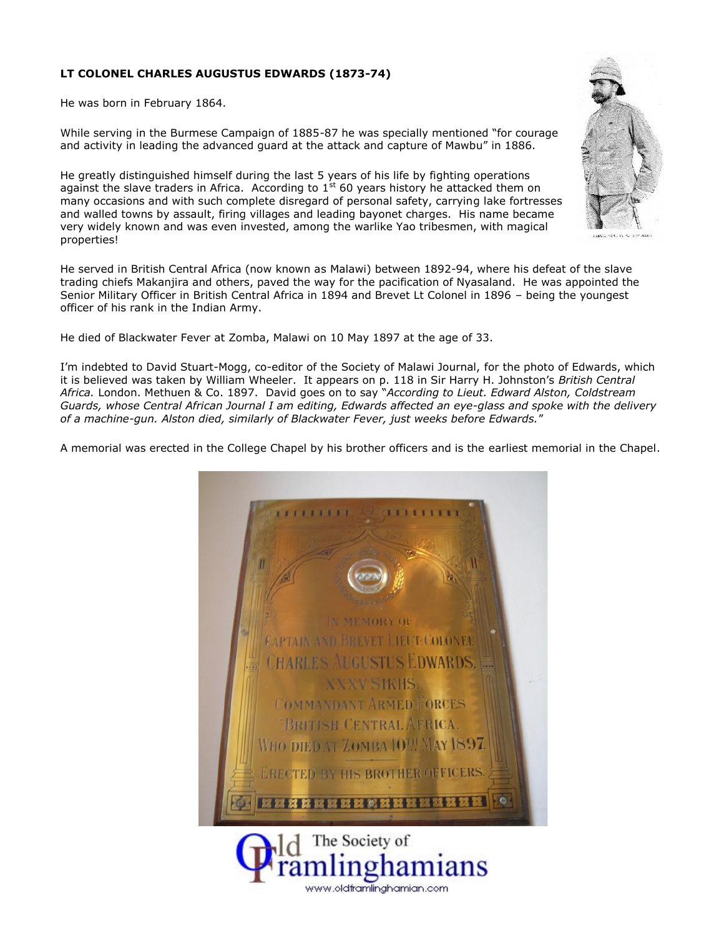## **LT COLONEL CHARLES AUGUSTUS EDWARDS (1873-74)**

He was born in February 1864.

While serving in the Burmese Campaign of 1885-87 he was specially mentioned "for courage and activity in leading the advanced guard at the attack and capture of Mawbu" in 1886.

He greatly distinguished himself during the last 5 years of his life by fighting operations against the slave traders in Africa. According to 1<sup>st</sup> 60 years history he attacked them on  $\qquad$ many occasions and with such complete disregard of personal safety, carrying lake fortresses and walled towns by assault, firing villages and leading bayonet charges. His name became very widely known and was even invested, among the warlike Yao tribesmen, with magical properties!

He served in British Central Africa (now known as Malawi) between 1892-94, where his defeat of the slave trading chiefs Makanjira and others, paved the way for the pacification of Nyasaland. He was appointed the Senior Military Officer in British Central Africa in 1894 and Brevet Lt Colonel in 1896 – being the youngest officer of his rank in the Indian Army.

He died of Blackwater Fever at Zomba, Malawi on 10 May 1897 at the age of 33.

I'm indebted to David Stuart-Mogg, co-editor of the Society of Malawi Journal, for the photo of Edwards, which it is believed was taken by William Wheeler. It appears on p. 118 in Sir Harry H. Johnston's *British Central Africa.* London. Methuen & Co. 1897. David goes on to say "*According to Lieut. Edward Alston, Coldstream Guards, whose Central African Journal I am editing, Edwards affected an eye-glass and spoke with the delivery of a machine-gun. Alston died, similarly of Blackwater Fever, just weeks before Edwards.*"

A memorial was erected in the College Chapel by his brother officers and is the earliest memorial in the Chapel.



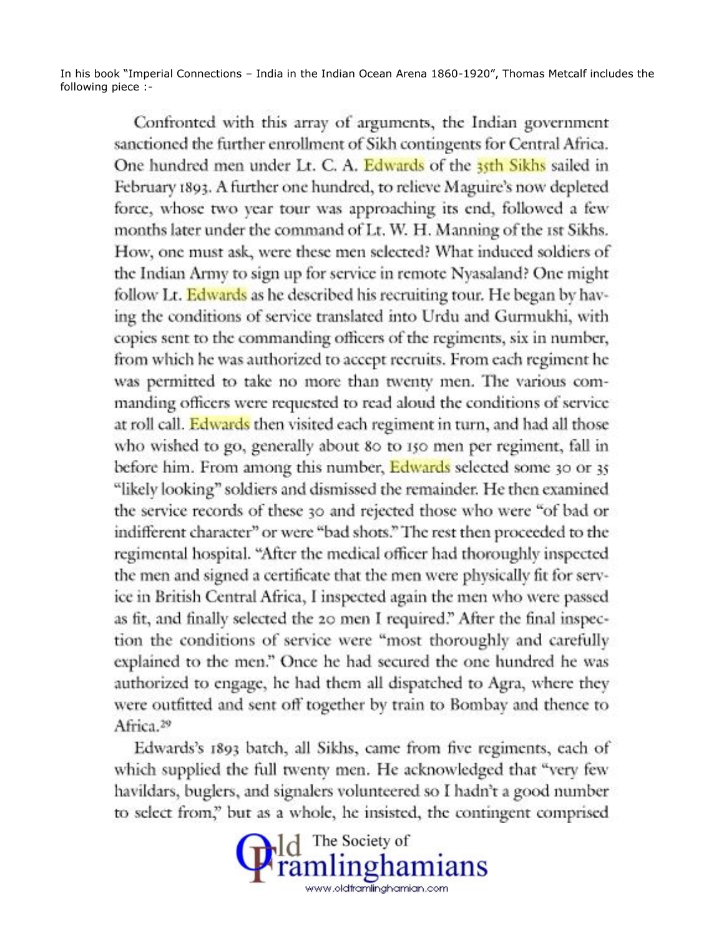In his book "Imperial Connections – India in the Indian Ocean Arena 1860-1920", Thomas Metcalf includes the following piece :-

Confronted with this array of arguments, the Indian government sanctioned the further enrollment of Sikh contingents for Central Africa. One hundred men under Lt. C. A. Edwards of the 35th Sikhs sailed in February 1893. A further one hundred, to relieve Maguire's now depleted force, whose two year tour was approaching its end, followed a few months later under the command of Lt. W. H. Manning of the 1st Sikhs. How, one must ask, were these men selected? What induced soldiers of the Indian Army to sign up for service in remote Nyasaland? One might follow Lt. Edwards as he described his recruiting tour. He began by having the conditions of service translated into Urdu and Gurmukhi, with copies sent to the commanding officers of the regiments, six in number, from which he was authorized to accept recruits. From each regiment he was permitted to take no more than twenty men. The various commanding officers were requested to read aloud the conditions of service at roll call. Edwards then visited each regiment in turn, and had all those who wished to go, generally about 80 to 150 men per regiment, fall in before him. From among this number, Edwards selected some 30 or 35 "likely looking" soldiers and dismissed the remainder. He then examined the service records of these 30 and rejected those who were "of bad or indifferent character" or were "bad shots." The rest then proceeded to the regimental hospital. "After the medical officer had thoroughly inspected the men and signed a certificate that the men were physically fit for service in British Central Africa, I inspected again the men who were passed as fit, and finally selected the 20 men I required." After the final inspection the conditions of service were "most thoroughly and carefully explained to the men." Once he had secured the one hundred he was authorized to engage, he had them all dispatched to Agra, where they were outfitted and sent off together by train to Bombay and thence to Africa.<sup>29</sup>

Edwards's 1893 batch, all Sikhs, came from five regiments, each of which supplied the full twenty men. He acknowledged that "very few havildars, buglers, and signalers volunteered so I hadn't a good number to select from," but as a whole, he insisted, the contingent comprised